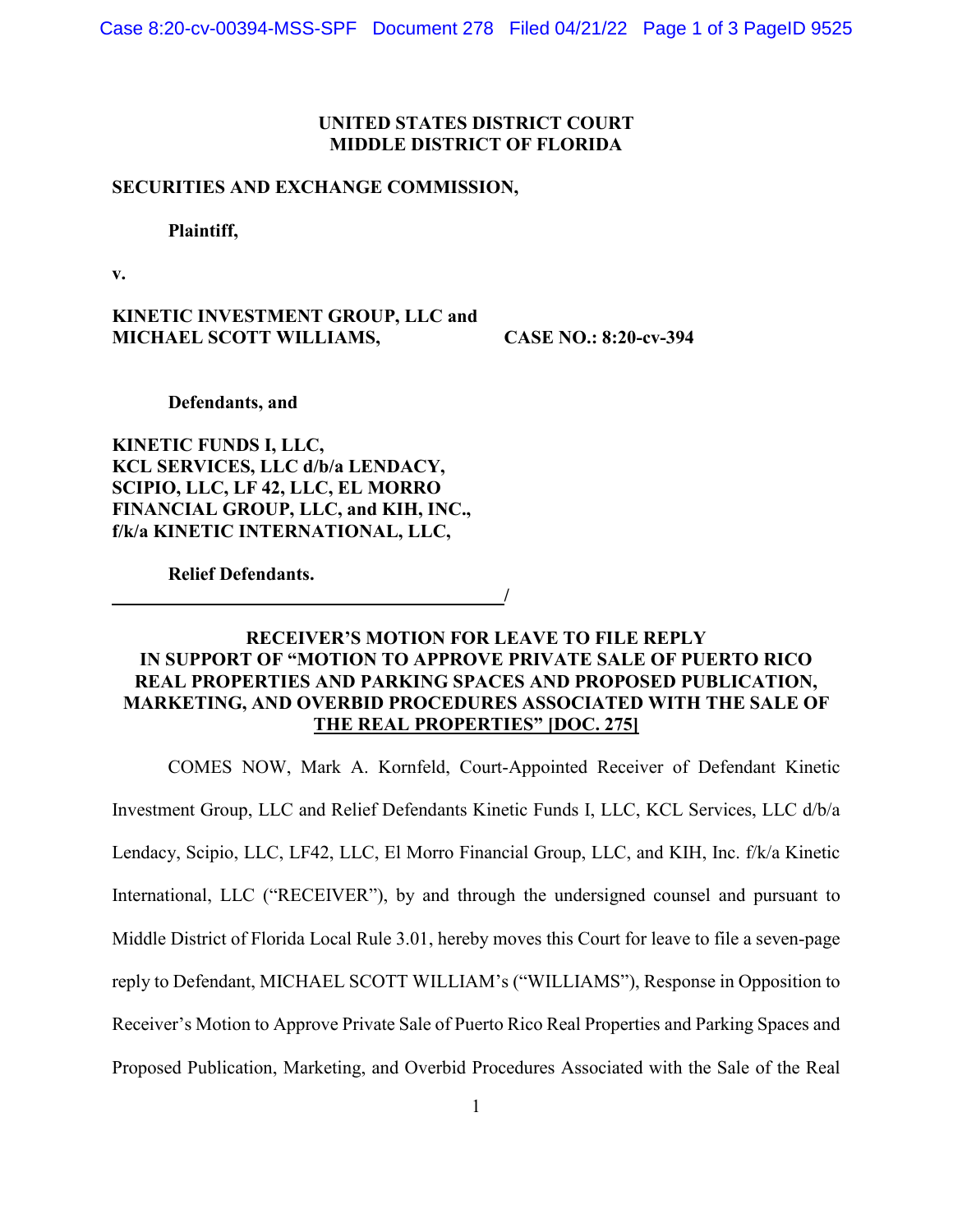# **UNITED STATES DISTRICT COURT MIDDLE DISTRICT OF FLORIDA**

### **SECURITIES AND EXCHANGE COMMISSION,**

**Plaintiff,**

**v.**

**KINETIC INVESTMENT GROUP, LLC and MICHAEL SCOTT WILLIAMS, CASE NO.: 8:20-cv-394**

**Defendants, and**

**KINETIC FUNDS I, LLC, KCL SERVICES, LLC d/b/a LENDACY, SCIPIO, LLC, LF 42, LLC, EL MORRO FINANCIAL GROUP, LLC, and KIH, INC., f/k/a KINETIC INTERNATIONAL, LLC,**

**Relief Defendants.**

**RECEIVER'S MOTION FOR LEAVE TO FILE REPLY IN SUPPORT OF "MOTION TO APPROVE PRIVATE SALE OF PUERTO RICO REAL PROPERTIES AND PARKING SPACES AND PROPOSED PUBLICATION, MARKETING, AND OVERBID PROCEDURES ASSOCIATED WITH THE SALE OF THE REAL PROPERTIES" [DOC. 275]**

**/**

COMES NOW, Mark A. Kornfeld, Court-Appointed Receiver of Defendant Kinetic Investment Group, LLC and Relief Defendants Kinetic Funds I, LLC, KCL Services, LLC d/b/a Lendacy, Scipio, LLC, LF42, LLC, El Morro Financial Group, LLC, and KIH, Inc. f/k/a Kinetic International, LLC ("RECEIVER"), by and through the undersigned counsel and pursuant to Middle District of Florida Local Rule 3.01, hereby moves this Court for leave to file a seven-page reply to Defendant, MICHAEL SCOTT WILLIAM's ("WILLIAMS"), Response in Opposition to Receiver's Motion to Approve Private Sale of Puerto Rico Real Properties and Parking Spaces and Proposed Publication, Marketing, and Overbid Procedures Associated with the Sale of the Real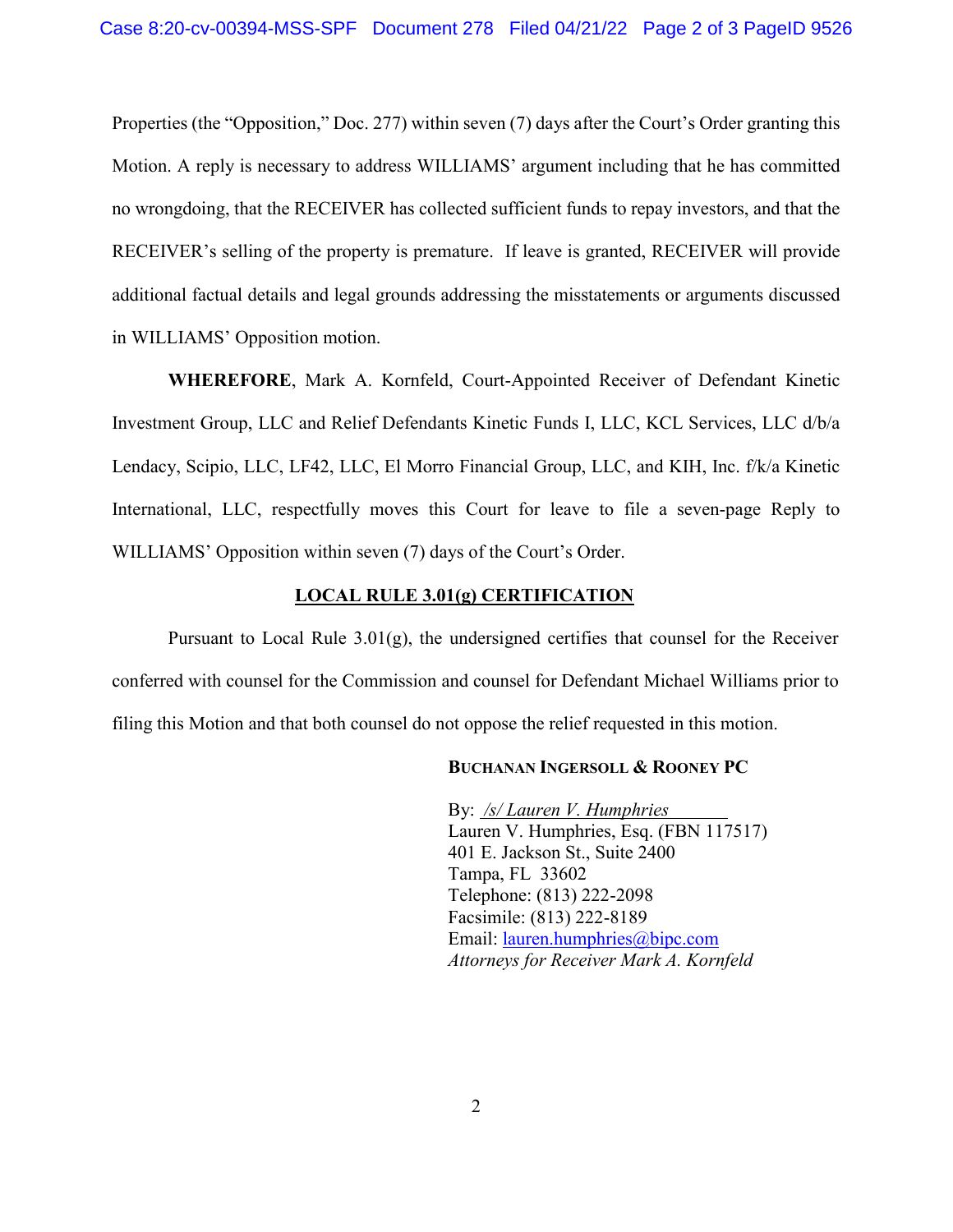Properties (the "Opposition," Doc. 277) within seven (7) days after the Court's Order granting this Motion. A reply is necessary to address WILLIAMS' argument including that he has committed no wrongdoing, that the RECEIVER has collected sufficient funds to repay investors, and that the RECEIVER's selling of the property is premature. If leave is granted, RECEIVER will provide additional factual details and legal grounds addressing the misstatements or arguments discussed in WILLIAMS' Opposition motion.

**WHEREFORE**, Mark A. Kornfeld, Court-Appointed Receiver of Defendant Kinetic Investment Group, LLC and Relief Defendants Kinetic Funds I, LLC, KCL Services, LLC d/b/a Lendacy, Scipio, LLC, LF42, LLC, El Morro Financial Group, LLC, and KIH, Inc. f/k/a Kinetic International, LLC, respectfully moves this Court for leave to file a seven-page Reply to WILLIAMS' Opposition within seven (7) days of the Court's Order.

### **LOCAL RULE 3.01(g) CERTIFICATION**

Pursuant to Local Rule 3.01(g), the undersigned certifies that counsel for the Receiver conferred with counsel for the Commission and counsel for Defendant Michael Williams prior to filing this Motion and that both counsel do not oppose the relief requested in this motion.

#### **BUCHANAN INGERSOLL & ROONEY PC**

By: */s/ Lauren V. Humphries* Lauren V. Humphries, Esq. (FBN 117517) 401 E. Jackson St., Suite 2400 Tampa, FL 33602 Telephone: (813) 222-2098 Facsimile: (813) 222-8189 Email: [lauren.humphries@bipc.com](mailto:lauren.humphries@bipc.com)  *Attorneys for Receiver Mark A. Kornfeld*